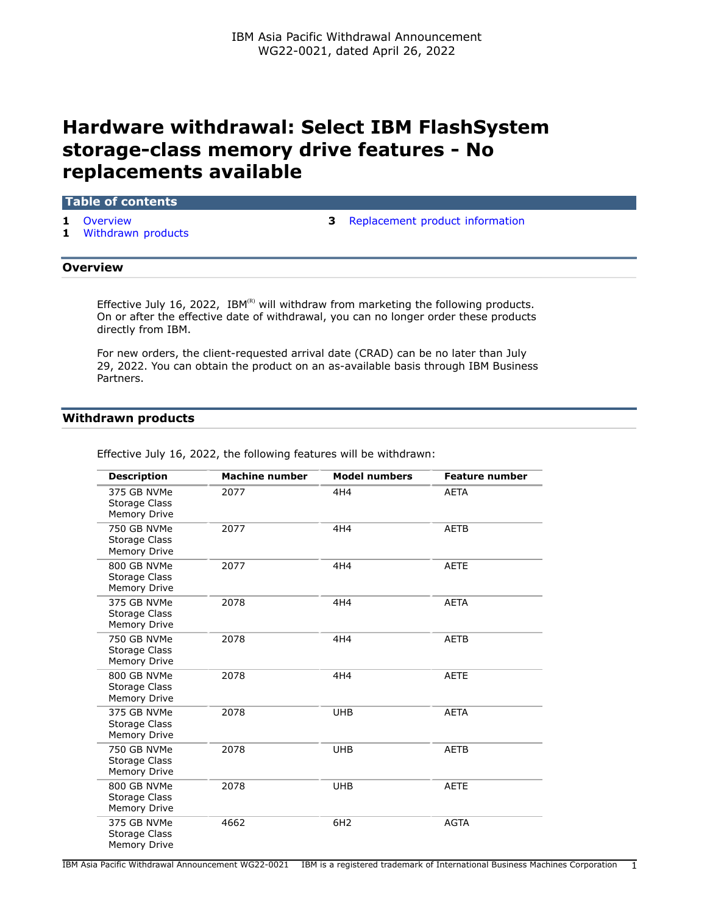# **Hardware withdrawal: Select IBM FlashSystem storage-class memory drive features - No replacements available**

#### **Table of contents**

- 
- **1** [Withdrawn products](#page-0-1)
- **1** [Overview](#page-0-0) **3** [Replacement product information](#page-2-0)

#### <span id="page-0-0"></span>**Overview**

Effective July 16, 2022, IBM $^{(R)}$  will withdraw from marketing the following products. On or after the effective date of withdrawal, you can no longer order these products directly from IBM.

For new orders, the client-requested arrival date (CRAD) can be no later than July 29, 2022. You can obtain the product on an as-available basis through IBM Business Partners.

# <span id="page-0-1"></span>**Withdrawn products**

| <b>Description</b>                                         | <b>Machine number</b> | <b>Model numbers</b> | <b>Feature number</b> |
|------------------------------------------------------------|-----------------------|----------------------|-----------------------|
| 375 GB NVMe<br><b>Storage Class</b><br>Memory Drive        | 2077                  | 4H4                  | <b>AETA</b>           |
| 750 GB NVMe<br>Storage Class<br><b>Memory Drive</b>        | 2077                  | 4H4                  | <b>AETB</b>           |
| 800 GB NVMe<br>Storage Class<br><b>Memory Drive</b>        | 2077                  | 4H4                  | <b>AETE</b>           |
| 375 GB NVMe<br>Storage Class<br><b>Memory Drive</b>        | 2078                  | 4H4                  | <b>AETA</b>           |
| 750 GB NVMe<br>Storage Class<br><b>Memory Drive</b>        | 2078                  | 4H4                  | <b>AETB</b>           |
| 800 GB NVMe<br>Storage Class<br><b>Memory Drive</b>        | 2078                  | 4H4                  | <b>AETE</b>           |
| 375 GB NVMe<br>Storage Class<br><b>Memory Drive</b>        | 2078                  | <b>UHB</b>           | <b>AETA</b>           |
| 750 GB NVMe<br>Storage Class<br><b>Memory Drive</b>        | 2078                  | <b>UHB</b>           | <b>AETB</b>           |
| 800 GB NVMe<br><b>Storage Class</b><br><b>Memory Drive</b> | 2078                  | <b>UHB</b>           | <b>AETE</b>           |
| 375 GB NVMe<br>Storage Class<br><b>Memory Drive</b>        | 4662                  | 6H <sub>2</sub>      | <b>AGTA</b>           |

Effective July 16, 2022, the following features will be withdrawn: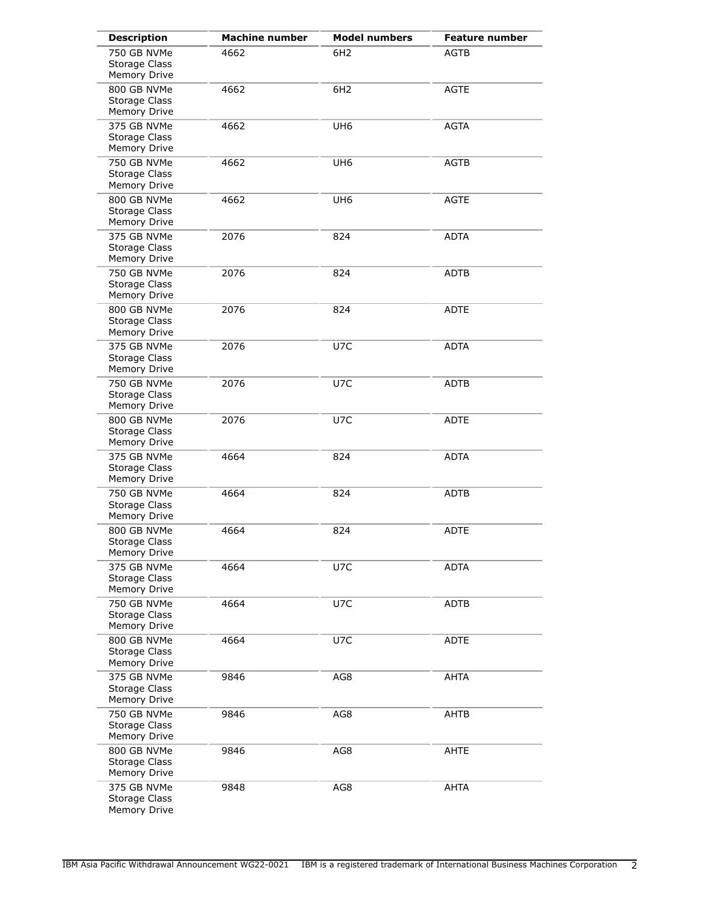| <b>Description</b>                                         | <b>Machine number</b> | <b>Model numbers</b> | <b>Feature number</b> |
|------------------------------------------------------------|-----------------------|----------------------|-----------------------|
| 750 GB NVMe<br>Storage Class<br>Memory Drive               | 4662                  | 6H <sub>2</sub>      | AGTB                  |
| 800 GB NVMe<br>Storage Class<br>Memory Drive               | 4662                  | 6H <sub>2</sub>      | <b>AGTE</b>           |
| 375 GB NVMe<br>Storage Class<br>Memory Drive               | 4662                  | UH <sub>6</sub>      | <b>AGTA</b>           |
| 750 GB NVMe<br>Storage Class<br>Memory Drive               | 4662                  | UH <sub>6</sub>      | AGTB                  |
| 800 GB NVMe<br>Storage Class<br>Memory Drive               | 4662                  | UH <sub>6</sub>      | <b>AGTE</b>           |
| 375 GB NVMe<br>Storage Class<br>Memory Drive               | 2076                  | 824                  | <b>ADTA</b>           |
| 750 GB NVMe<br>Storage Class<br>Memory Drive               | 2076                  | 824                  | <b>ADTB</b>           |
| 800 GB NVMe<br>Storage Class<br>Memory Drive               | 2076                  | 824                  | <b>ADTE</b>           |
| 375 GB NVMe<br>Storage Class<br>Memory Drive               | 2076                  | U7C                  | <b>ADTA</b>           |
| 750 GB NVMe<br>Storage Class<br>Memory Drive               | 2076                  | U7C                  | <b>ADTB</b>           |
| 800 GB NVMe<br>Storage Class<br>Memory Drive               | 2076                  | U7C                  | <b>ADTE</b>           |
| 375 GB NVMe<br>Storage Class<br>Memory Drive               | 4664                  | 824                  | <b>ADTA</b>           |
| 750 GB NVMe<br>Storage Class<br>Memory Drive               | 4664                  | 824                  | <b>ADTB</b>           |
| 800 GB NVMe<br><b>Storage Class</b><br><b>Memory Drive</b> | 4664                  | 824                  | ADTE                  |
| 375 GB NVMe<br><b>Storage Class</b><br>Memory Drive        | 4664                  | U7C                  | <b>ADTA</b>           |
| 750 GB NVMe<br>Storage Class<br>Memory Drive               | 4664                  | U7C                  | ADTB                  |
| 800 GB NVMe<br>Storage Class<br>Memory Drive               | 4664                  | U7C                  | ADTE                  |
| 375 GB NVMe<br>Storage Class<br>Memory Drive               | 9846                  | AG8                  | AHTA                  |
| 750 GB NVMe<br>Storage Class<br>Memory Drive               | 9846                  | AG8                  | AHTB                  |
| 800 GB NVMe<br>Storage Class<br>Memory Drive               | 9846                  | AG8                  | AHTE                  |
| 375 GB NVMe<br>Storage Class<br>Memory Drive               | 9848                  | AG8                  | AHTA                  |